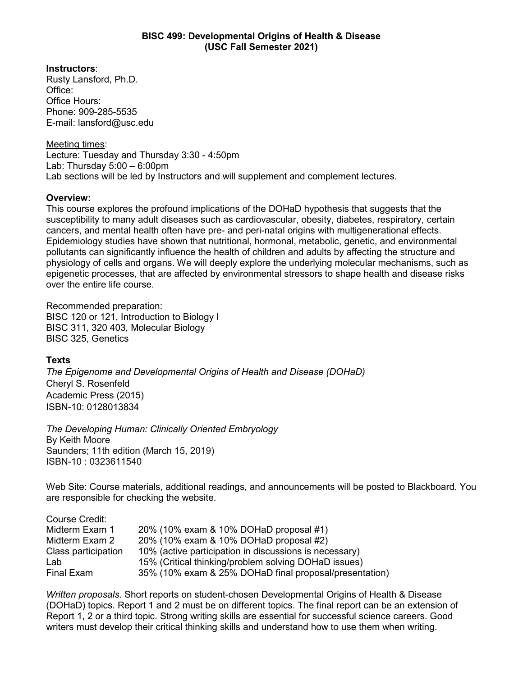## **BISC 499: Developmental Origins of Health & Disease (USC Fall Semester 2021)**

**Instructors**:

Rusty Lansford, Ph.D. Office: Office Hours: Phone: 909-285-5535 E-mail: lansford@usc.edu

Meeting times:

Lecture: Tuesday and Thursday 3:30 - 4:50pm Lab: Thursday  $5:00 - 6:00$ pm Lab sections will be led by Instructors and will supplement and complement lectures.

# **Overview:**

This course explores the profound implications of the DOHaD hypothesis that suggests that the susceptibility to many adult diseases such as cardiovascular, obesity, diabetes, respiratory, certain cancers, and mental health often have pre- and peri-natal origins with multigenerational effects. Epidemiology studies have shown that nutritional, hormonal, metabolic, genetic, and environmental pollutants can significantly influence the health of children and adults by affecting the structure and physiology of cells and organs. We will deeply explore the underlying molecular mechanisms, such as epigenetic processes, that are affected by environmental stressors to shape health and disease risks over the entire life course.

Recommended preparation: BISC 120 or 121, Introduction to Biology I BISC 311, 320 403, Molecular Biology BISC 325, Genetics

# **Texts**

*[The Epigenome and Developmental Origins of Health and Disease](https://www.amazon.com/Epigenome-Developmental-Origins-Health-Disease/dp/0128013834/ref=sr_1_1?dchild=1&qid=1613147222&refinements=p_27%3ACheryl+S.+Rosenfeld&s=books&sr=1-1&text=Cheryl+S.+Rosenfeld) (DOHaD)* Cheryl S. Rosenfeld Academic Press (2015) ISBN-10: 0128013834

*The Developing Human: Clinically Oriented Embryology* By Keith Moore Saunders; 11th edition (March 15, 2019) ISBN-10 : 0323611540

Web Site: Course materials, additional readings, and announcements will be posted to Blackboard. You are responsible for checking the website.

| Course Credit:      |                                                        |
|---------------------|--------------------------------------------------------|
| Midterm Exam 1      | 20% (10% exam & 10% DOHaD proposal #1)                 |
| Midterm Exam 2      | 20% (10% exam & 10% DOHaD proposal #2)                 |
| Class participation | 10% (active participation in discussions is necessary) |
| Lab                 | 15% (Critical thinking/problem solving DOHaD issues)   |
| Final Exam          | 35% (10% exam & 25% DOHaD final proposal/presentation) |

*Written proposals.* Short reports on student-chosen Developmental Origins of Health & Disease (DOHaD) topics. Report 1 and 2 must be on different topics. The final report can be an extension of Report 1, 2 or a third topic. Strong writing skills are essential for successful science careers. Good writers must develop their critical thinking skills and understand how to use them when writing.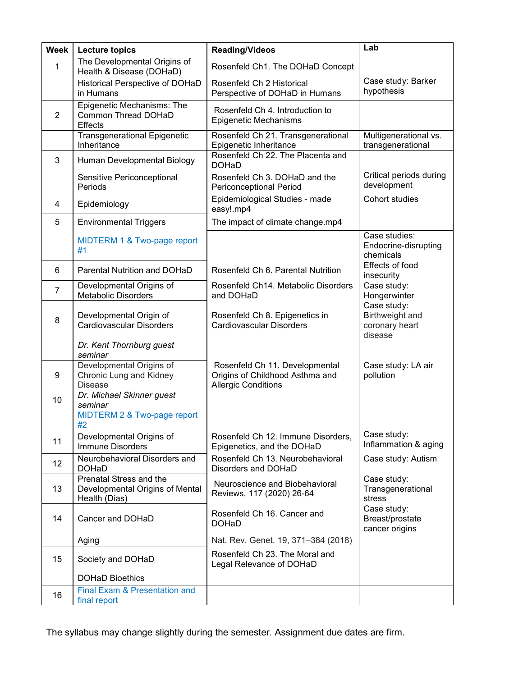| <b>Week</b>    | <b>Lecture topics</b>                                                       | <b>Reading/Videos</b>                                                                           | Lab                                                         |
|----------------|-----------------------------------------------------------------------------|-------------------------------------------------------------------------------------------------|-------------------------------------------------------------|
| 1              | The Developmental Origins of<br>Health & Disease (DOHaD)                    | Rosenfeld Ch1. The DOHaD Concept                                                                |                                                             |
|                | Historical Perspective of DOHaD<br>in Humans                                | Rosenfeld Ch 2 Historical<br>Perspective of DOHaD in Humans                                     | Case study: Barker<br>hypothesis                            |
| $\overline{2}$ | Epigenetic Mechanisms: The<br>Common Thread DOHaD<br><b>Effects</b>         | Rosenfeld Ch 4. Introduction to<br>Epigenetic Mechanisms                                        |                                                             |
|                | <b>Transgenerational Epigenetic</b><br>Inheritance                          | Rosenfeld Ch 21. Transgenerational<br>Epigenetic Inheritance                                    | Multigenerational vs.<br>transgenerational                  |
| 3              | Human Developmental Biology                                                 | Rosenfeld Ch 22. The Placenta and<br><b>DOHaD</b>                                               |                                                             |
|                | Sensitive Periconceptional<br>Periods                                       | Rosenfeld Ch 3. DOHaD and the<br>Periconceptional Period                                        | Critical periods during<br>development                      |
| 4              | Epidemiology                                                                | Epidemiological Studies - made<br>easy!.mp4                                                     | Cohort studies                                              |
| 5              | <b>Environmental Triggers</b>                                               | The impact of climate change.mp4                                                                |                                                             |
|                | MIDTERM 1 & Two-page report<br>#1                                           |                                                                                                 | Case studies:<br>Endocrine-disrupting<br>chemicals          |
| 6              | Parental Nutrition and DOHaD                                                | Rosenfeld Ch 6. Parental Nutrition                                                              | Effects of food<br>insecurity                               |
| $\overline{7}$ | Developmental Origins of<br><b>Metabolic Disorders</b>                      | Rosenfeld Ch14. Metabolic Disorders<br>and DOHaD                                                | Case study:<br>Hongerwinter                                 |
| 8              | Developmental Origin of<br>Cardiovascular Disorders                         | Rosenfeld Ch 8. Epigenetics in<br><b>Cardiovascular Disorders</b>                               | Case study:<br>Birthweight and<br>coronary heart<br>disease |
|                | Dr. Kent Thornburg guest<br>seminar                                         |                                                                                                 |                                                             |
| 9              | Developmental Origins of<br>Chronic Lung and Kidney<br><b>Disease</b>       | Rosenfeld Ch 11. Developmental<br>Origins of Childhood Asthma and<br><b>Allergic Conditions</b> | Case study: LA air<br>pollution                             |
| 10             | Dr. Michael Skinner guest<br>seminar<br>MIDTERM 2 & Two-page report<br>#2   |                                                                                                 |                                                             |
| 11             | Developmental Origins of<br><b>Immune Disorders</b>                         | Rosenfeld Ch 12. Immune Disorders,<br>Epigenetics, and the DOHaD                                | Case study:<br>Inflammation & aging                         |
| 12             | Neurobehavioral Disorders and<br><b>DOHaD</b>                               | Rosenfeld Ch 13. Neurobehavioral<br>Disorders and DOHaD                                         | Case study: Autism                                          |
| 13             | Prenatal Stress and the<br>Developmental Origins of Mental<br>Health (Dias) | Neuroscience and Biobehavioral<br>Reviews, 117 (2020) 26-64                                     | Case study:<br>Transgenerational<br>stress                  |
| 14             | Cancer and DOHaD                                                            | Rosenfeld Ch 16. Cancer and<br><b>DOHaD</b>                                                     | Case study:<br>Breast/prostate<br>cancer origins            |
|                | Aging                                                                       | Nat. Rev. Genet. 19, 371-384 (2018)                                                             |                                                             |
| 15             | Society and DOHaD                                                           | Rosenfeld Ch 23. The Moral and<br>Legal Relevance of DOHaD                                      |                                                             |
|                | <b>DOHaD Bioethics</b>                                                      |                                                                                                 |                                                             |
| 16             | Final Exam & Presentation and<br>final report                               |                                                                                                 |                                                             |

The syllabus may change slightly during the semester. Assignment due dates are firm.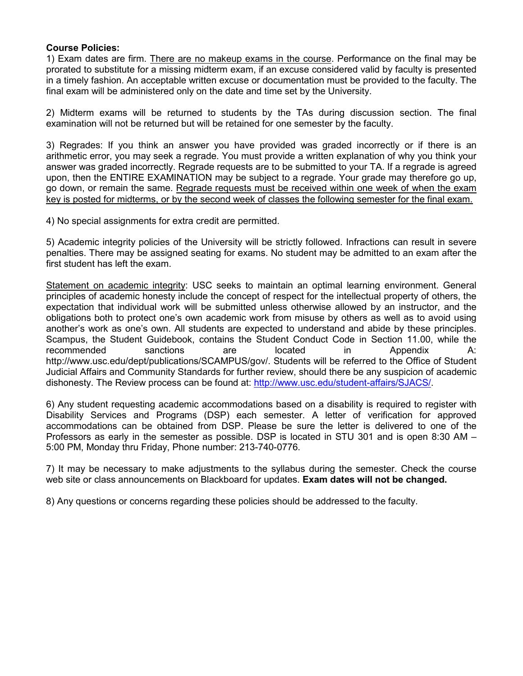### **Course Policies:**

1) Exam dates are firm. There are no makeup exams in the course. Performance on the final may be prorated to substitute for a missing midterm exam, if an excuse considered valid by faculty is presented in a timely fashion. An acceptable written excuse or documentation must be provided to the faculty. The final exam will be administered only on the date and time set by the University.

2) Midterm exams will be returned to students by the TAs during discussion section. The final examination will not be returned but will be retained for one semester by the faculty.

3) Regrades: If you think an answer you have provided was graded incorrectly or if there is an arithmetic error, you may seek a regrade. You must provide a written explanation of why you think your answer was graded incorrectly. Regrade requests are to be submitted to your TA. If a regrade is agreed upon, then the ENTIRE EXAMINATION may be subject to a regrade. Your grade may therefore go up, go down, or remain the same. Regrade requests must be received within one week of when the exam key is posted for midterms, or by the second week of classes the following semester for the final exam.

4) No special assignments for extra credit are permitted.

5) Academic integrity policies of the University will be strictly followed. Infractions can result in severe penalties. There may be assigned seating for exams. No student may be admitted to an exam after the first student has left the exam.

Statement on academic integrity: USC seeks to maintain an optimal learning environment. General principles of academic honesty include the concept of respect for the intellectual property of others, the expectation that individual work will be submitted unless otherwise allowed by an instructor, and the obligations both to protect one's own academic work from misuse by others as well as to avoid using another's work as one's own. All students are expected to understand and abide by these principles. Scampus, the Student Guidebook, contains the Student Conduct Code in Section 11.00, while the recommended sanctions are located in Appendix A: http://www.usc.edu/dept/publications/SCAMPUS/gov/. Students will be referred to the Office of Student Judicial Affairs and Community Standards for further review, should there be any suspicion of academic dishonesty. The Review process can be found at: [http://www.usc.edu/student-affairs/SJACS/.](http://www.usc.edu/student-affairs/SJACS/)

6) Any student requesting academic accommodations based on a disability is required to register with Disability Services and Programs (DSP) each semester. A letter of verification for approved accommodations can be obtained from DSP. Please be sure the letter is delivered to one of the Professors as early in the semester as possible. DSP is located in STU 301 and is open 8:30 AM – 5:00 PM, Monday thru Friday, Phone number: 213-740-0776.

7) It may be necessary to make adjustments to the syllabus during the semester. Check the course web site or class announcements on Blackboard for updates. **Exam dates will not be changed.**

8) Any questions or concerns regarding these policies should be addressed to the faculty.